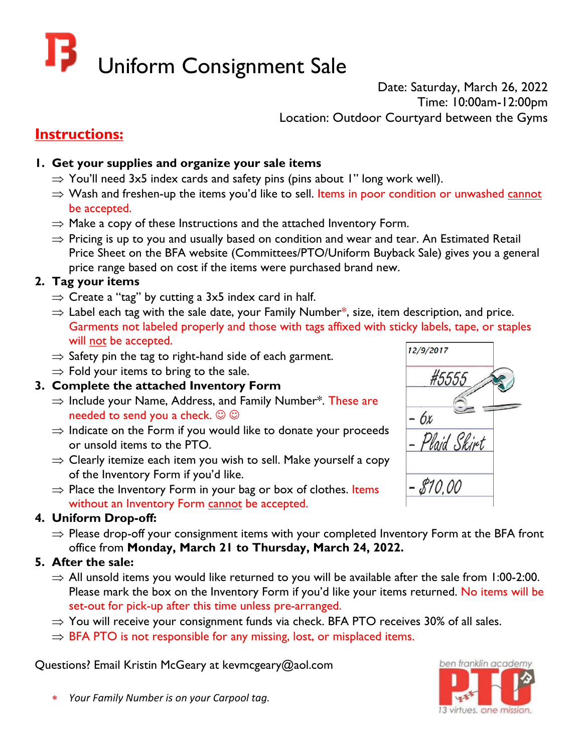# Uniform Consignment Sale

Date: Saturday, March 26, 2022 Time: 10:00am-12:00pm Location: Outdoor Courtyard between the Gyms

# **Instructions:**

# **1. Get your supplies and organize your sale items**

- $\Rightarrow$  You'll need 3x5 index cards and safety pins (pins about 1" long work well).
- $\Rightarrow$  Wash and freshen-up the items you'd like to sell. Items in poor condition or unwashed cannot be accepted.
- $\Rightarrow$  Make a copy of these Instructions and the attached Inventory Form.
- $\Rightarrow$  Pricing is up to you and usually based on condition and wear and tear. An Estimated Retail Price Sheet on the BFA website (Committees/PTO/Uniform Buyback Sale) gives you a general price range based on cost if the items were purchased brand new.

#### **2. Tag your items**

- $\Rightarrow$  Create a "tag" by cutting a 3x5 index card in half.
- $\Rightarrow$  Label each tag with the sale date, your Family Number\*, size, item description, and price. Garments not labeled properly and those with tags affixed with sticky labels, tape, or staples will not be accepted.
- $\Rightarrow$  Safety pin the tag to right-hand side of each garment.
- $\Rightarrow$  Fold your items to bring to the sale.

#### **3. Complete the attached Inventory Form**

- $\Rightarrow$  Include your Name, Address, and Family Number\*. These are needed to send you a check.  $\odot \odot$
- $\Rightarrow$  Indicate on the Form if you would like to donate your proceeds or unsold items to the PTO.
- $\Rightarrow$  Clearly itemize each item you wish to sell. Make yourself a copy of the Inventory Form if you'd like.
- $\Rightarrow$  Place the Inventory Form in your bag or box of clothes. Items without an Inventory Form cannot be accepted.

## **4. Uniform Drop-off:**

 $\Rightarrow$  Please drop-off your consignment items with your completed Inventory Form at the BFA front office from **Monday, March 21 to Thursday, March 24, 2022.**

## **5. After the sale:**

- $\Rightarrow$  All unsold items you would like returned to you will be available after the sale from 1:00-2:00. Please mark the box on the Inventory Form if you'd like your items returned. No items will be set-out for pick-up after this time unless pre-arranged.
- $\Rightarrow$  You will receive your consignment funds via check. BFA PTO receives 30% of all sales.
- $\Rightarrow$  BFA PTO is not responsible for any missing, lost, or misplaced items.

Questions? Email Kristin McGeary at kevmcgeary@aol.com



\* *Your Family Number is on your Carpool tag.*